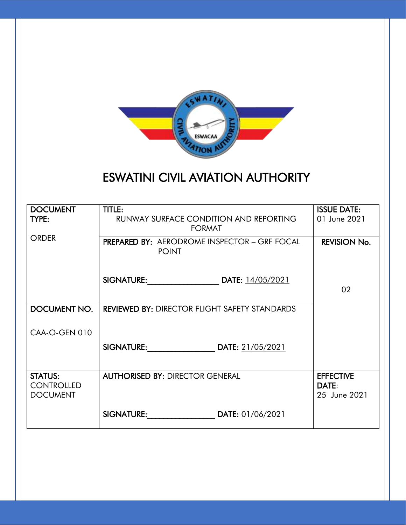

# ESWATINI CIVIL AVIATION AUTHORITY

| <b>DOCUMENT</b><br>TYPE:                               | TITLE:<br><b>RUNWAY SURFACE CONDITION AND REPORTING</b><br><b>FORMAT</b> | <b>ISSUE DATE:</b><br>01 June 2021        |
|--------------------------------------------------------|--------------------------------------------------------------------------|-------------------------------------------|
| <b>ORDER</b>                                           | <b>PREPARED BY: AERODROME INSPECTOR - GRF FOCAL</b><br><b>POINT</b>      | <b>REVISION No.</b>                       |
|                                                        | SIGNATURE: DATE: 14/05/2021                                              | 02                                        |
| DOCUMENT NO.                                           | <b>REVIEWED BY: DIRECTOR FLIGHT SAFETY STANDARDS</b>                     |                                           |
| CAA-O-GEN 010                                          |                                                                          |                                           |
|                                                        | SIGNATURE: DATE: 21/05/2021                                              |                                           |
| <b>STATUS:</b><br><b>CONTROLLED</b><br><b>DOCUMENT</b> | <b>AUTHORISED BY: DIRECTOR GENERAL</b>                                   | <b>EFFECTIVE</b><br>DATE:<br>25 June 2021 |
|                                                        | <b>SIGNATURE: DATE:</b> 01/06/2021                                       |                                           |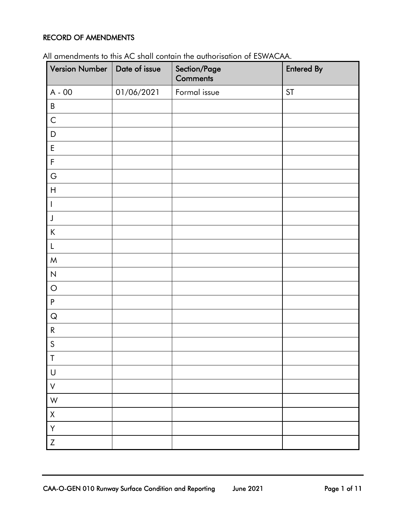#### <span id="page-1-0"></span>RECORD OF AMENDMENTS

| Version Number   Date of issue |            | Section/Page<br><b>Comments</b> | <b>Entered By</b> |
|--------------------------------|------------|---------------------------------|-------------------|
| $A - 00$                       | 01/06/2021 | Formal issue                    | <b>ST</b>         |
| $\sf B$                        |            |                                 |                   |
| $\mathsf{C}$                   |            |                                 |                   |
| $\mathsf D$                    |            |                                 |                   |
| $\mathsf E$                    |            |                                 |                   |
| $\mathsf F$                    |            |                                 |                   |
| G                              |            |                                 |                   |
| $\boldsymbol{\mathsf{H}}$      |            |                                 |                   |
| I                              |            |                                 |                   |
| $\mathsf J$                    |            |                                 |                   |
| $\sf K$                        |            |                                 |                   |
| L                              |            |                                 |                   |
| ${\sf M}$                      |            |                                 |                   |
| $\overline{N}$                 |            |                                 |                   |
| $\bigcirc$                     |            |                                 |                   |
| ${\sf P}$                      |            |                                 |                   |
| ${\sf Q}$                      |            |                                 |                   |
| ${\sf R}$                      |            |                                 |                   |
| $\mathsf{S}$                   |            |                                 |                   |
| $\mathsf T$                    |            |                                 |                   |
| $\bigcup$                      |            |                                 |                   |
| $\mathsf V$                    |            |                                 |                   |
| W                              |            |                                 |                   |
| $\mathsf X$                    |            |                                 |                   |
| Y                              |            |                                 |                   |
| $\ensuremath{\mathsf{Z}}$      |            |                                 |                   |

All amendments to this AC shall contain the authorisation of ESWACAA.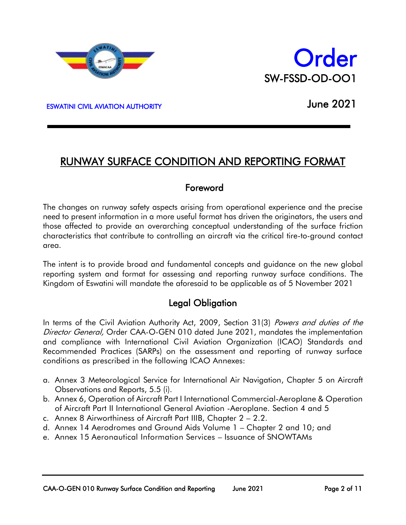



ESWATINI CIVIL AVIATION AUTHORITY

 $\overline{a}$ 

June 2021

## RUNWAY SURFACE CONDITION AND REPORTING FORMAT

### <span id="page-2-0"></span>Foreword

The changes on runway safety aspects arising from operational experience and the precise need to present information in a more useful format has driven the originators, the users and those affected to provide an overarching conceptual understanding of the surface friction characteristics that contribute to controlling an aircraft via the critical tire-to-ground contact area.

The intent is to provide broad and fundamental concepts and guidance on the new global reporting system and format for assessing and reporting runway surface conditions. The Kingdom of Eswatini will mandate the aforesaid to be applicable as of 5 November 2021

### Legal Obligation

In terms of the Civil Aviation Authority Act, 2009, Section 31(3) Powers and duties of the Director General, Order CAA-O-GEN 010 dated June 2021, mandates the implementation and compliance with International Civil Aviation Organization (ICAO) Standards and Recommended Practices (SARPs) on the assessment and reporting of runway surface conditions as prescribed in the following ICAO Annexes:

- a. Annex 3 Meteorological Service for International Air Navigation, Chapter 5 on Aircraft Observations and Reports, 5.5 (i).
- b. Annex 6, Operation of Aircraft Part I International Commercial-Aeroplane & Operation of Aircraft Part II International General Aviation -Aeroplane. Section 4 and 5
- c. Annex 8 Airworthiness of Aircraft Part IIIB, Chapter 2 2.2.
- d. Annex 14 Aerodromes and Ground Aids Volume 1 Chapter 2 and 10; and
- e. Annex 15 Aeronautical Information Services Issuance of SNOWTAMs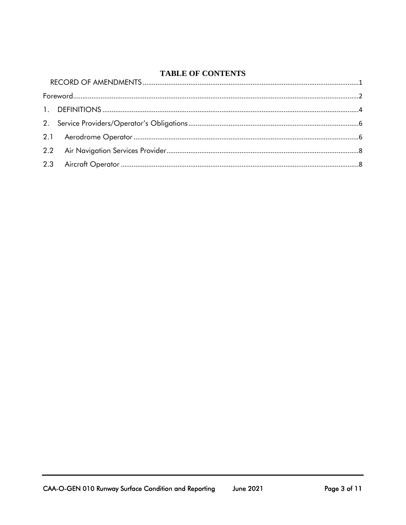### **TABLE OF CONTENTS**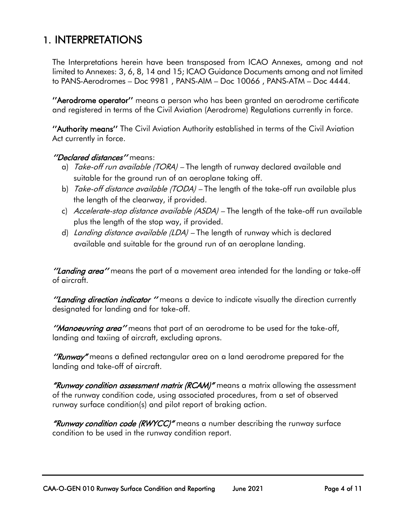# <span id="page-4-0"></span>1. INTERPRETATIONS

The Interpretations herein have been transposed from ICAO Annexes, among and not limited to Annexes: 3, 6, 8, 14 and 15; ICAO Guidance Documents among and not limited to PANS-Aerodromes – Doc 9981 , PANS-AIM – Doc 10066 , PANS-ATM – Doc 4444.

''Aerodrome operator'' means a person who has been granted an aerodrome certificate and registered in terms of the Civil Aviation (Aerodrome) Regulations currently in force.

''Authority means'' The Civil Aviation Authority established in terms of the Civil Aviation Act currently in force.

#### "Declared distances" means:

- a) Take-off run available (TORA) The length of runway declared available and suitable for the ground run of an aeroplane taking off.
- b) *Take-off distance available (TODA)* The length of the take-off run available plus the length of the clearway, if provided.
- c) Accelerate-stop distance available (ASDA) The length of the take-off run available plus the length of the stop way, if provided.
- d) Landing distance available (LDA) The length of runway which is declared available and suitable for the ground run of an aeroplane landing.

"Landing area" means the part of a movement area intended for the landing or take-off of aircraft.

"Landing direction indicator " means a device to indicate visually the direction currently designated for landing and for take-off.

"Manoeuvring area" means that part of an aerodrome to be used for the take-off, landing and taxiing of aircraft, excluding aprons.

"Runway" means a defined rectangular area on a land aerodrome prepared for the landing and take-off of aircraft.

"Runway condition assessment matrix (RCAM)" means a matrix allowing the assessment of the runway condition code, using associated procedures, from a set of observed runway surface condition(s) and pilot report of braking action.

"Runway condition code (RWYCC)" means a number describing the runway surface condition to be used in the runway condition report.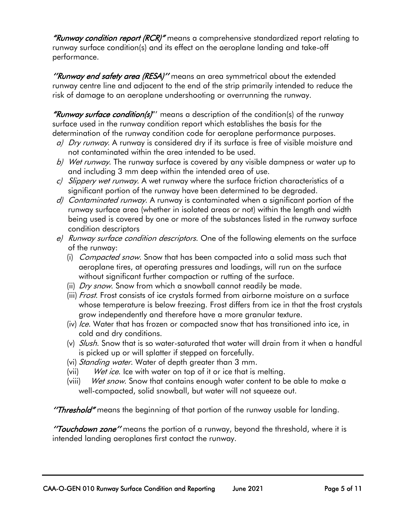"Runway condition report (RCR)" means a comprehensive standardized report relating to runway surface condition(s) and its effect on the aeroplane landing and take-off performance.

"Runway end safety area (RESA)" means an area symmetrical about the extended runway centre line and adjacent to the end of the strip primarily intended to reduce the risk of damage to an aeroplane undershooting or overrunning the runway.

"Runway surface condition(s)" means a description of the condition(s) of the runway surface used in the runway condition report which establishes the basis for the determination of the runway condition code for aeroplane performance purposes.

- a) Dry runway. A runway is considered dry if its surface is free of visible moisture and not contaminated within the area intended to be used.
- b) Wet runway. The runway surface is covered by any visible dampness or water up to and including 3 mm deep within the intended area of use.
- c) Slippery wet runway. A wet runway where the surface friction characteristics of a significant portion of the runway have been determined to be degraded.
- d) Contaminated runway. A runway is contaminated when a significant portion of the runway surface area (whether in isolated areas or not) within the length and width being used is covered by one or more of the substances listed in the runway surface condition descriptors
- e) Runway surface condition descriptors. One of the following elements on the surface of the runway:
	- (i) *Compacted snow*. Snow that has been compacted into a solid mass such that aeroplane tires, at operating pressures and loadings, will run on the surface without significant further compaction or rutting of the surface.
	- (ii) Dry snow. Snow from which a snowball cannot readily be made.
	- (iii) *Frost*. Frost consists of ice crystals formed from airborne moisture on a surface whose temperature is below freezing. Frost differs from ice in that the frost crystals grow independently and therefore have a more granular texture.
	- (iv) Ice. Water that has frozen or compacted snow that has transitioned into ice, in cold and dry conditions.
	- (v) Slush. Snow that is so water-saturated that water will drain from it when a handful is picked up or will splatter if stepped on forcefully.
	- (vi) *Standing water*. Water of depth greater than 3 mm.
	- (vii) Wet ice. Ice with water on top of it or ice that is melting.
	- (viii) Wet snow. Snow that contains enough water content to be able to make a well-compacted, solid snowball, but water will not squeeze out.

"Threshold" means the beginning of that portion of the runway usable for landing.

"Touchdown zone" means the portion of a runway, beyond the threshold, where it is intended landing aeroplanes first contact the runway.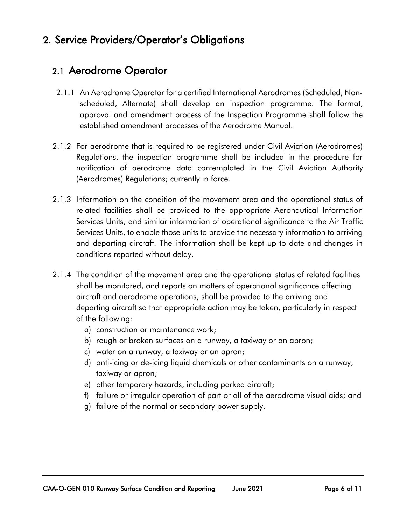# <span id="page-6-1"></span><span id="page-6-0"></span>2. Service Providers/Operator's Obligations

## 2.1 Aerodrome Operator

- 2.1.1 An Aerodrome Operator for a certified International Aerodromes (Scheduled, Nonscheduled, Alternate) shall develop an inspection programme. The format, approval and amendment process of the Inspection Programme shall follow the established amendment processes of the Aerodrome Manual.
- 2.1.2 For aerodrome that is required to be registered under Civil Aviation (Aerodromes) Regulations, the inspection programme shall be included in the procedure for notification of aerodrome data contemplated in the Civil Aviation Authority (Aerodromes) Regulations; currently in force.
- 2.1.3 Information on the condition of the movement area and the operational status of related facilities shall be provided to the appropriate Aeronautical Information Services Units, and similar information of operational significance to the Air Traffic Services Units, to enable those units to provide the necessary information to arriving and departing aircraft. The information shall be kept up to date and changes in conditions reported without delay.
- 2.1.4 The condition of the movement area and the operational status of related facilities shall be monitored, and reports on matters of operational significance affecting aircraft and aerodrome operations, shall be provided to the arriving and departing aircraft so that appropriate action may be taken, particularly in respect of the following:
	- a) construction or maintenance work;
	- b) rough or broken surfaces on a runway, a taxiway or an apron;
	- c) water on a runway, a taxiway or an apron;
	- d) anti-icing or de-icing liquid chemicals or other contaminants on a runway, taxiway or apron;
	- e) other temporary hazards, including parked aircraft;
	- f) failure or irregular operation of part or all of the aerodrome visual aids; and
	- g) failure of the normal or secondary power supply.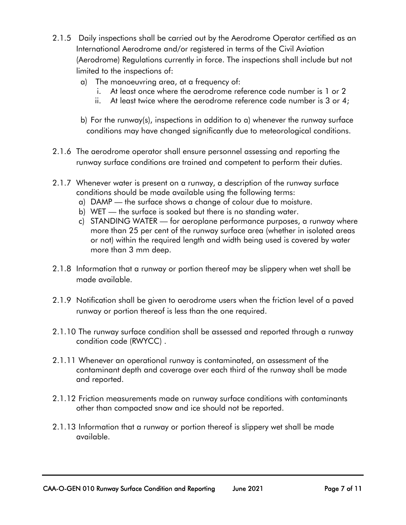- 2.1.5 Daily inspections shall be carried out by the Aerodrome Operator certified as an International Aerodrome and/or registered in terms of the Civil Aviation (Aerodrome) Regulations currently in force. The inspections shall include but not limited to the inspections of:
	- a) The manoeuvring area, at a frequency of:
		- i. At least once where the aerodrome reference code number is 1 or 2
		- ii. At least twice where the aerodrome reference code number is 3 or 4;
	- b) For the runway(s), inspections in addition to a) whenever the runway surface conditions may have changed significantly due to meteorological conditions.
- 2.1.6 The aerodrome operator shall ensure personnel assessing and reporting the runway surface conditions are trained and competent to perform their duties.
- 2.1.7 Whenever water is present on a runway, a description of the runway surface conditions should be made available using the following terms:
	- a) DAMP the surface shows a change of colour due to moisture.
	- b) WET the surface is soaked but there is no standing water.
	- c) STANDING WATER for aeroplane performance purposes, a runway where more than 25 per cent of the runway surface area (whether in isolated areas or not) within the required length and width being used is covered by water more than 3 mm deep.
- 2.1.8 Information that a runway or portion thereof may be slippery when wet shall be made available.
- 2.1.9 Notification shall be given to aerodrome users when the friction level of a paved runway or portion thereof is less than the one required.
- 2.1.10 The runway surface condition shall be assessed and reported through a runway condition code (RWYCC) .
- 2.1.11 Whenever an operational runway is contaminated, an assessment of the contaminant depth and coverage over each third of the runway shall be made and reported.
- 2.1.12 Friction measurements made on runway surface conditions with contaminants other than compacted snow and ice should not be reported.
- 2.1.13 Information that a runway or portion thereof is slippery wet shall be made available.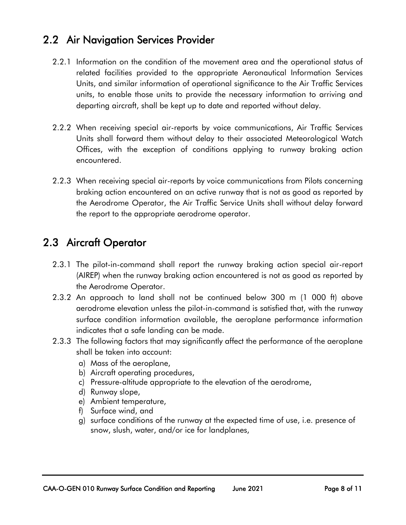# <span id="page-8-0"></span>2.2 Air Navigation Services Provider

- 2.2.1 Information on the condition of the movement area and the operational status of related facilities provided to the appropriate Aeronautical Information Services Units, and similar information of operational significance to the Air Traffic Services units, to enable those units to provide the necessary information to arriving and departing aircraft, shall be kept up to date and reported without delay.
- 2.2.2 When receiving special air-reports by voice communications, Air Traffic Services Units shall forward them without delay to their associated Meteorological Watch Offices, with the exception of conditions applying to runway braking action encountered.
- 2.2.3 When receiving special air-reports by voice communications from Pilots concerning braking action encountered on an active runway that is not as good as reported by the Aerodrome Operator, the Air Traffic Service Units shall without delay forward the report to the appropriate aerodrome operator.

# <span id="page-8-1"></span>2.3 Aircraft Operator

- 2.3.1 The pilot-in-command shall report the runway braking action special air-report (AIREP) when the runway braking action encountered is not as good as reported by the Aerodrome Operator.
- 2.3.2 An approach to land shall not be continued below 300 m (1 000 ft) above aerodrome elevation unless the pilot-in-command is satisfied that, with the runway surface condition information available, the aeroplane performance information indicates that a safe landing can be made.
- 2.3.3 The following factors that may significantly affect the performance of the aeroplane shall be taken into account:
	- a) Mass of the aeroplane,
	- b) Aircraft operating procedures,
	- c) Pressure-altitude appropriate to the elevation of the aerodrome,
	- d) Runway slope,
	- e) Ambient temperature,
	- f) Surface wind, and
	- g) surface conditions of the runway at the expected time of use, i.e. presence of snow, slush, water, and/or ice for landplanes,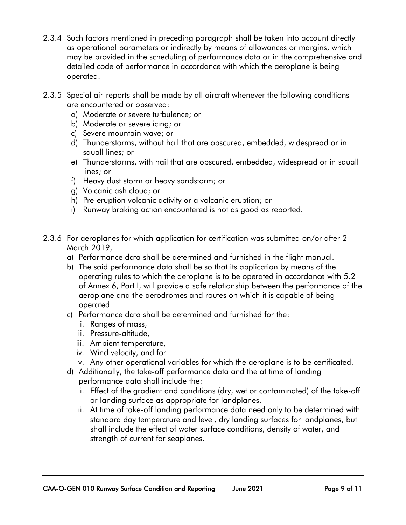- 2.3.4 Such factors mentioned in preceding paragraph shall be taken into account directly as operational parameters or indirectly by means of allowances or margins, which may be provided in the scheduling of performance data or in the comprehensive and detailed code of performance in accordance with which the aeroplane is being operated.
- 2.3.5 Special air-reports shall be made by all aircraft whenever the following conditions are encountered or observed:
	- a) Moderate or severe turbulence; or
	- b) Moderate or severe icing; or
	- c) Severe mountain wave; or
	- d) Thunderstorms, without hail that are obscured, embedded, widespread or in squall lines; or
	- e) Thunderstorms, with hail that are obscured, embedded, widespread or in squall lines; or
	- f) Heavy dust storm or heavy sandstorm; or
	- g) Volcanic ash cloud; or
	- h) Pre-eruption volcanic activity or a volcanic eruption; or
	- i) Runway braking action encountered is not as good as reported.
- 2.3.6 For aeroplanes for which application for certification was submitted on/or after 2 March 2019,
	- a) Performance data shall be determined and furnished in the flight manual.
	- b) The said performance data shall be so that its application by means of the operating rules to which the aeroplane is to be operated in accordance with 5.2 of Annex 6, Part I, will provide a safe relationship between the performance of the aeroplane and the aerodromes and routes on which it is capable of being operated.
	- c) Performance data shall be determined and furnished for the:
		- i. Ranges of mass,
		- ii. Pressure-altitude,
		- iii. Ambient temperature,
		- iv. Wind velocity, and for
		- v. Any other operational variables for which the aeroplane is to be certificated.
	- d) Additionally, the take-off performance data and the at time of landing performance data shall include the:
		- i. Effect of the gradient and conditions (dry, wet or contaminated) of the take-off or landing surface as appropriate for landplanes.
		- ii. At time of take-off landing performance data need only to be determined with standard day temperature and level, dry landing surfaces for landplanes, but shall include the effect of water surface conditions, density of water, and strength of current for seaplanes.